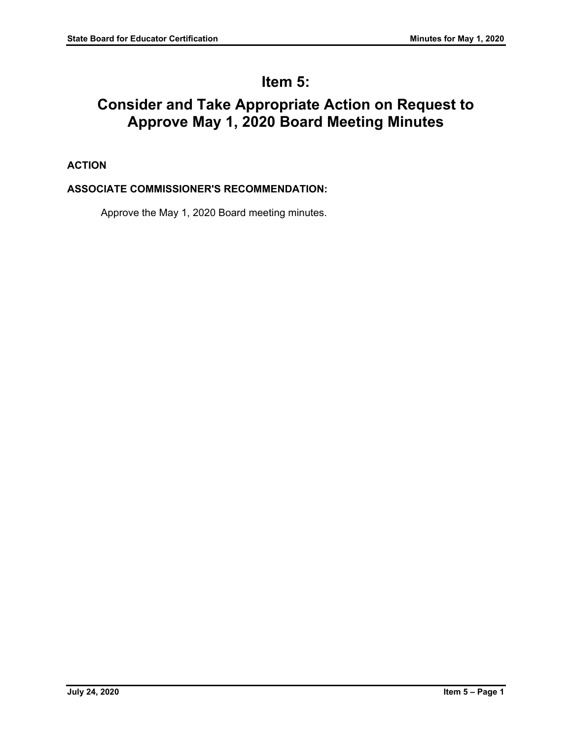# **Item 5:**

# **Consider and Take Appropriate Action on Request to Approve May 1, 2020 Board Meeting Minutes**

# **ACTION**

# **ASSOCIATE COMMISSIONER'S RECOMMENDATION:**

Approve the May 1, 2020 Board meeting minutes.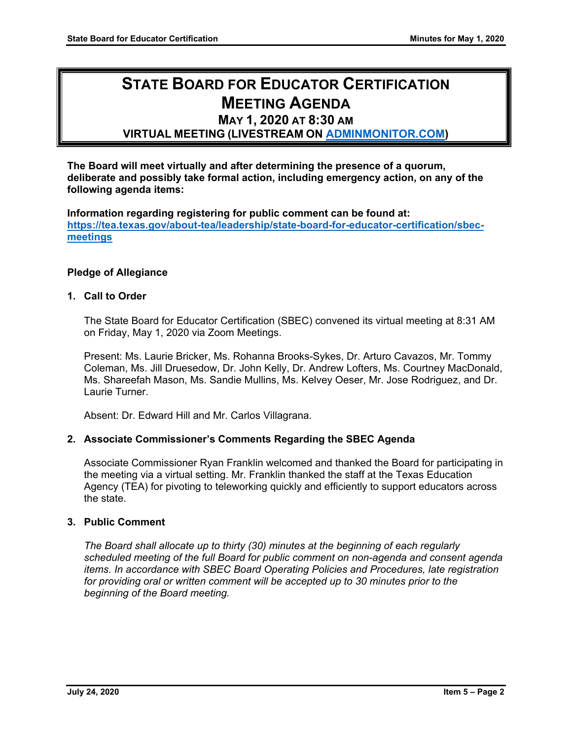# **STATE BOARD FOR EDUCATOR CERTIFICATION MEETING AGENDA**

# **MAY 1, 2020 AT 8:30 AM**

**VIRTUAL MEETING (LIVESTREAM ON [ADMINMONITOR.COM\)](http://www.adminmonitor.com/tx/tea/)**

**The Board will meet virtually and after determining the presence of a quorum, deliberate and possibly take formal action, including emergency action, on any of the following agenda items:**

**Information regarding registering for public comment can be found at: [https://tea.texas.gov/about-tea/leadership/state-board-for-educator-certification/sbec](https://nam10.safelinks.protection.outlook.com/?url=https%3A%2F%2Ftea.texas.gov%2Fabout-tea%2Fleadership%2Fstate-board-for-educator-certification%2Fsbec-meetings&data=02%7C01%7CKatelin.Allen%40tea.texas.gov%7C33f09bed51314321053e08d7e6d36cb5%7C65d6b3c3723648189613248dbd713a6f%7C0%7C0%7C637231668044732631&sdata=p8LIEPR4IIZEJnEdirrTXTHGHIbtX2MWtvumJv7Tzho%3D&reserved=0)[meetings](https://nam10.safelinks.protection.outlook.com/?url=https%3A%2F%2Ftea.texas.gov%2Fabout-tea%2Fleadership%2Fstate-board-for-educator-certification%2Fsbec-meetings&data=02%7C01%7CKatelin.Allen%40tea.texas.gov%7C33f09bed51314321053e08d7e6d36cb5%7C65d6b3c3723648189613248dbd713a6f%7C0%7C0%7C637231668044732631&sdata=p8LIEPR4IIZEJnEdirrTXTHGHIbtX2MWtvumJv7Tzho%3D&reserved=0)**

# **Pledge of Allegiance**

#### **1. Call to Order**

The State Board for Educator Certification (SBEC) convened its virtual meeting at 8:31 AM on Friday, May 1, 2020 via Zoom Meetings.

Present: Ms. Laurie Bricker, Ms. Rohanna Brooks-Sykes, Dr. Arturo Cavazos, Mr. Tommy Coleman, Ms. Jill Druesedow, Dr. John Kelly, Dr. Andrew Lofters, Ms. Courtney MacDonald, Ms. Shareefah Mason, Ms. Sandie Mullins, Ms. Kelvey Oeser, Mr. Jose Rodriguez, and Dr. Laurie Turner.

Absent: Dr. Edward Hill and Mr. Carlos Villagrana.

# **2. Associate Commissioner's Comments Regarding the SBEC Agenda**

Associate Commissioner Ryan Franklin welcomed and thanked the Board for participating in the meeting via a virtual setting. Mr. Franklin thanked the staff at the Texas Education Agency (TEA) for pivoting to teleworking quickly and efficiently to support educators across the state.

#### **3. Public Comment**

*The Board shall allocate up to thirty (30) minutes at the beginning of each regularly scheduled meeting of the full Board for public comment on non-agenda and consent agenda items. In accordance with SBEC Board Operating Policies and Procedures, late registration for providing oral or written comment will be accepted up to 30 minutes prior to the beginning of the Board meeting.*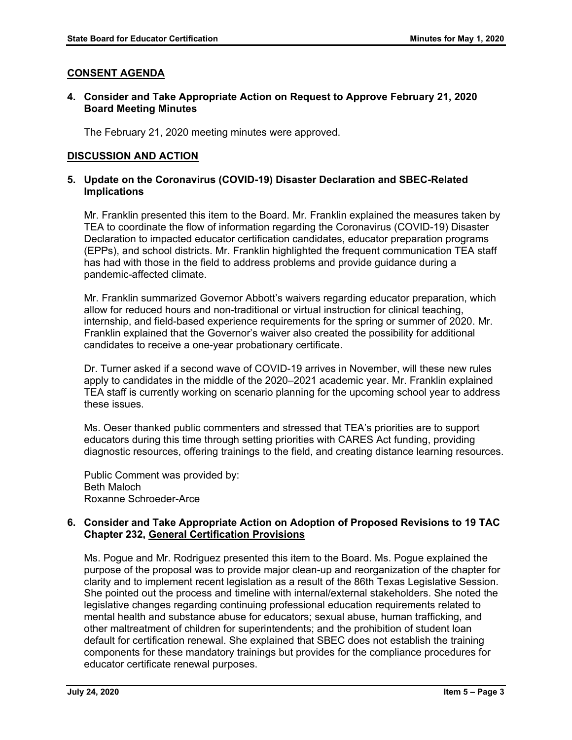# **CONSENT AGENDA**

### **4. Consider and Take Appropriate Action on Request to Approve February 21, 2020 Board Meeting Minutes**

The February 21, 2020 meeting minutes were approved.

# **DISCUSSION AND ACTION**

### **5. Update on the Coronavirus (COVID-19) Disaster Declaration and SBEC-Related Implications**

Mr. Franklin presented this item to the Board. Mr. Franklin explained the measures taken by TEA to coordinate the flow of information regarding the Coronavirus (COVID-19) Disaster Declaration to impacted educator certification candidates, educator preparation programs (EPPs), and school districts. Mr. Franklin highlighted the frequent communication TEA staff has had with those in the field to address problems and provide guidance during a pandemic-affected climate.

Mr. Franklin summarized Governor Abbott's waivers regarding educator preparation, which allow for reduced hours and non-traditional or virtual instruction for clinical teaching, internship, and field-based experience requirements for the spring or summer of 2020. Mr. Franklin explained that the Governor's waiver also created the possibility for additional candidates to receive a one-year probationary certificate.

Dr. Turner asked if a second wave of COVID-19 arrives in November, will these new rules apply to candidates in the middle of the 2020–2021 academic year. Mr. Franklin explained TEA staff is currently working on scenario planning for the upcoming school year to address these issues.

Ms. Oeser thanked public commenters and stressed that TEA's priorities are to support educators during this time through setting priorities with CARES Act funding, providing diagnostic resources, offering trainings to the field, and creating distance learning resources.

Public Comment was provided by: Beth Maloch Roxanne Schroeder-Arce

# **6. Consider and Take Appropriate Action on Adoption of Proposed Revisions to 19 TAC Chapter 232, General Certification Provisions**

Ms. Pogue and Mr. Rodriguez presented this item to the Board. Ms. Pogue explained the purpose of the proposal was to provide major clean-up and reorganization of the chapter for clarity and to implement recent legislation as a result of the 86th Texas Legislative Session. She pointed out the process and timeline with internal/external stakeholders. She noted the legislative changes regarding continuing professional education requirements related to mental health and substance abuse for educators; sexual abuse, human trafficking, and other maltreatment of children for superintendents; and the prohibition of student loan default for certification renewal. She explained that SBEC does not establish the training components for these mandatory trainings but provides for the compliance procedures for educator certificate renewal purposes.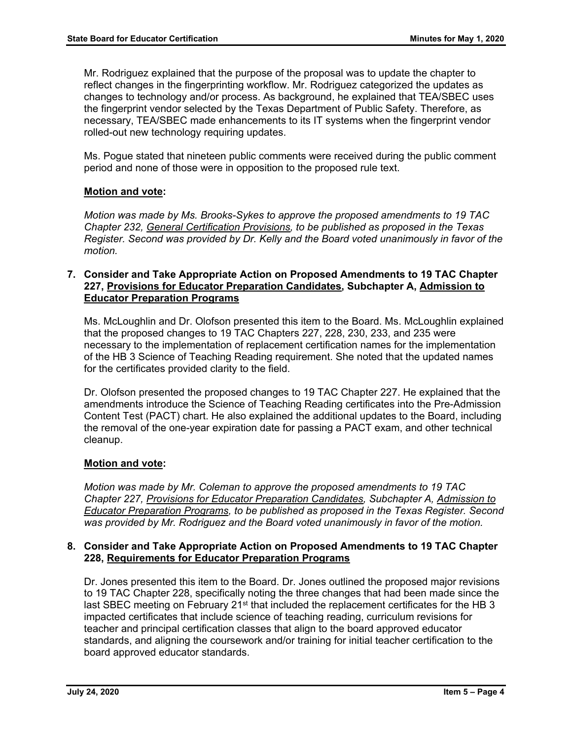Mr. Rodriguez explained that the purpose of the proposal was to update the chapter to reflect changes in the fingerprinting workflow. Mr. Rodriguez categorized the updates as changes to technology and/or process. As background, he explained that TEA/SBEC uses the fingerprint vendor selected by the Texas Department of Public Safety. Therefore, as necessary, TEA/SBEC made enhancements to its IT systems when the fingerprint vendor rolled-out new technology requiring updates.

Ms. Pogue stated that nineteen public comments were received during the public comment period and none of those were in opposition to the proposed rule text.

# **Motion and vote:**

*Motion was made by Ms. Brooks-Sykes to approve the proposed amendments to 19 TAC Chapter 232, General Certification Provisions, to be published as proposed in the Texas Register. Second was provided by Dr. Kelly and the Board voted unanimously in favor of the motion.*

# **7. Consider and Take Appropriate Action on Proposed Amendments to 19 TAC Chapter 227, Provisions for Educator Preparation Candidates, Subchapter A, Admission to Educator Preparation Programs**

Ms. McLoughlin and Dr. Olofson presented this item to the Board. Ms. McLoughlin explained that the proposed changes to 19 TAC Chapters 227, 228, 230, 233, and 235 were necessary to the implementation of replacement certification names for the implementation of the HB 3 Science of Teaching Reading requirement. She noted that the updated names for the certificates provided clarity to the field.

Dr. Olofson presented the proposed changes to 19 TAC Chapter 227. He explained that the amendments introduce the Science of Teaching Reading certificates into the Pre-Admission Content Test (PACT) chart. He also explained the additional updates to the Board, including the removal of the one-year expiration date for passing a PACT exam, and other technical cleanup.

# **Motion and vote:**

*Motion was made by Mr. Coleman to approve the proposed amendments to 19 TAC Chapter 227, Provisions for Educator Preparation Candidates, Subchapter A, Admission to Educator Preparation Programs, to be published as proposed in the Texas Register. Second was provided by Mr. Rodriguez and the Board voted unanimously in favor of the motion.*

#### **8. Consider and Take Appropriate Action on Proposed Amendments to 19 TAC Chapter 228, Requirements for Educator Preparation Programs**

Dr. Jones presented this item to the Board. Dr. Jones outlined the proposed major revisions to 19 TAC Chapter 228, specifically noting the three changes that had been made since the last SBEC meeting on February 21<sup>st</sup> that included the replacement certificates for the HB 3 impacted certificates that include science of teaching reading, curriculum revisions for teacher and principal certification classes that align to the board approved educator standards, and aligning the coursework and/or training for initial teacher certification to the board approved educator standards.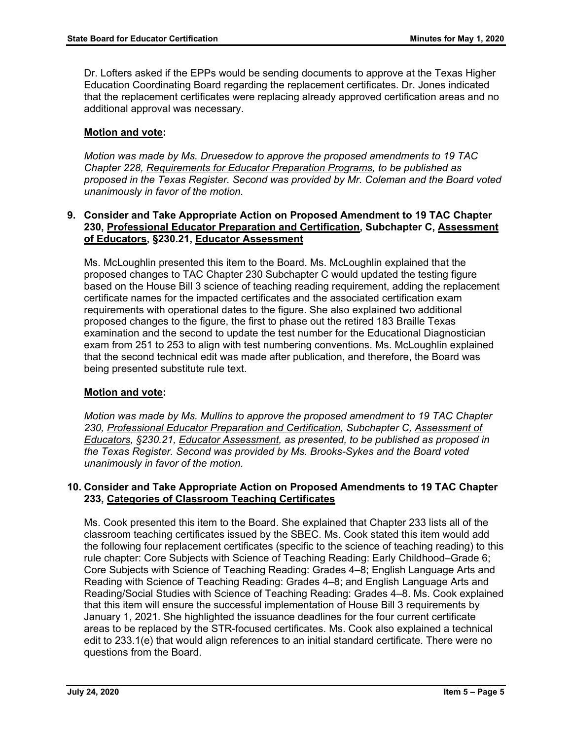Dr. Lofters asked if the EPPs would be sending documents to approve at the Texas Higher Education Coordinating Board regarding the replacement certificates. Dr. Jones indicated that the replacement certificates were replacing already approved certification areas and no additional approval was necessary.

# **Motion and vote:**

*Motion was made by Ms. Druesedow to approve the proposed amendments to 19 TAC Chapter 228, Requirements for Educator Preparation Programs, to be published as proposed in the Texas Register. Second was provided by Mr. Coleman and the Board voted unanimously in favor of the motion.*

#### **9. Consider and Take Appropriate Action on Proposed Amendment to 19 TAC Chapter 230, Professional Educator Preparation and Certification, Subchapter C, Assessment of Educators, §230.21, Educator Assessment**

Ms. McLoughlin presented this item to the Board. Ms. McLoughlin explained that the proposed changes to TAC Chapter 230 Subchapter C would updated the testing figure based on the House Bill 3 science of teaching reading requirement, adding the replacement certificate names for the impacted certificates and the associated certification exam requirements with operational dates to the figure. She also explained two additional proposed changes to the figure, the first to phase out the retired 183 Braille Texas examination and the second to update the test number for the Educational Diagnostician exam from 251 to 253 to align with test numbering conventions. Ms. McLoughlin explained that the second technical edit was made after publication, and therefore, the Board was being presented substitute rule text.

# **Motion and vote:**

*Motion was made by Ms. Mullins to approve the proposed amendment to 19 TAC Chapter 230, Professional Educator Preparation and Certification, Subchapter C, Assessment of Educators, §230.21, Educator Assessment, as presented, to be published as proposed in the Texas Register. Second was provided by Ms. Brooks-Sykes and the Board voted unanimously in favor of the motion.*

#### **10. Consider and Take Appropriate Action on Proposed Amendments to 19 TAC Chapter 233, Categories of Classroom Teaching Certificates**

Ms. Cook presented this item to the Board. She explained that Chapter 233 lists all of the classroom teaching certificates issued by the SBEC. Ms. Cook stated this item would add the following four replacement certificates (specific to the science of teaching reading) to this rule chapter: Core Subjects with Science of Teaching Reading: Early Childhood–Grade 6; Core Subjects with Science of Teaching Reading: Grades 4–8; English Language Arts and Reading with Science of Teaching Reading: Grades 4–8; and English Language Arts and Reading/Social Studies with Science of Teaching Reading: Grades 4–8. Ms. Cook explained that this item will ensure the successful implementation of House Bill 3 requirements by January 1, 2021. She highlighted the issuance deadlines for the four current certificate areas to be replaced by the STR-focused certificates. Ms. Cook also explained a technical edit to 233.1(e) that would align references to an initial standard certificate. There were no questions from the Board.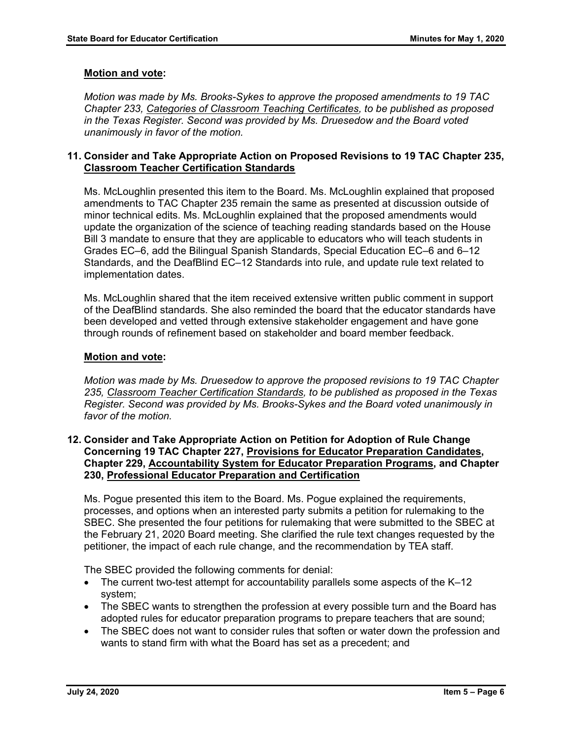# **Motion and vote:**

*Motion was made by Ms. Brooks-Sykes to approve the proposed amendments to 19 TAC Chapter 233, Categories of Classroom Teaching Certificates, to be published as proposed in the Texas Register. Second was provided by Ms. Druesedow and the Board voted unanimously in favor of the motion.*

### **11. Consider and Take Appropriate Action on Proposed Revisions to 19 TAC Chapter 235, Classroom Teacher Certification Standards**

Ms. McLoughlin presented this item to the Board. Ms. McLoughlin explained that proposed amendments to TAC Chapter 235 remain the same as presented at discussion outside of minor technical edits. Ms. McLoughlin explained that the proposed amendments would update the organization of the science of teaching reading standards based on the House Bill 3 mandate to ensure that they are applicable to educators who will teach students in Grades EC–6, add the Bilingual Spanish Standards, Special Education EC–6 and 6–12 Standards, and the DeafBlind EC–12 Standards into rule, and update rule text related to implementation dates.

Ms. McLoughlin shared that the item received extensive written public comment in support of the DeafBlind standards. She also reminded the board that the educator standards have been developed and vetted through extensive stakeholder engagement and have gone through rounds of refinement based on stakeholder and board member feedback.

#### **Motion and vote:**

*Motion was made by Ms. Druesedow to approve the proposed revisions to 19 TAC Chapter 235, Classroom Teacher Certification Standards, to be published as proposed in the Texas Register. Second was provided by Ms. Brooks-Sykes and the Board voted unanimously in favor of the motion.*

#### **12. Consider and Take Appropriate Action on Petition for Adoption of Rule Change Concerning 19 TAC Chapter 227, Provisions for Educator Preparation Candidates, Chapter 229, Accountability System for Educator Preparation Programs, and Chapter 230, Professional Educator Preparation and Certification**

Ms. Pogue presented this item to the Board. Ms. Pogue explained the requirements, processes, and options when an interested party submits a petition for rulemaking to the SBEC. She presented the four petitions for rulemaking that were submitted to the SBEC at the February 21, 2020 Board meeting. She clarified the rule text changes requested by the petitioner, the impact of each rule change, and the recommendation by TEA staff.

The SBEC provided the following comments for denial:

- The current two-test attempt for accountability parallels some aspects of the K–12 system;
- The SBEC wants to strengthen the profession at every possible turn and the Board has adopted rules for educator preparation programs to prepare teachers that are sound;
- The SBEC does not want to consider rules that soften or water down the profession and wants to stand firm with what the Board has set as a precedent; and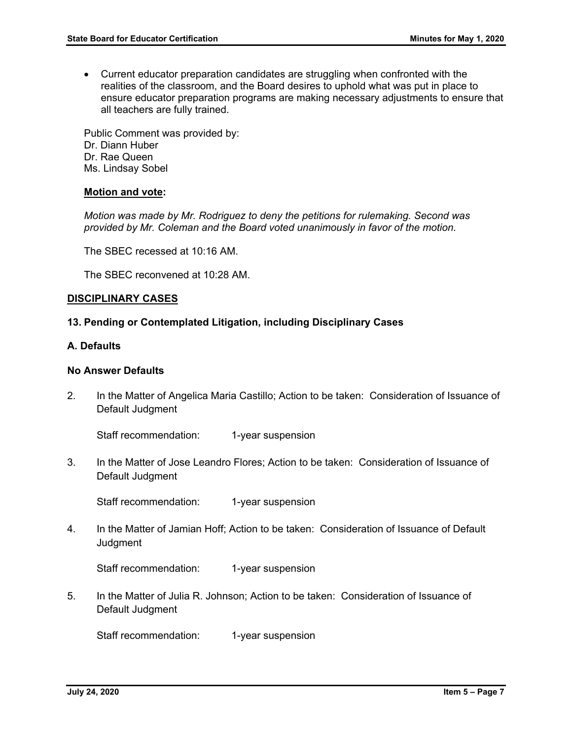• Current educator preparation candidates are struggling when confronted with the realities of the classroom, and the Board desires to uphold what was put in place to ensure educator preparation programs are making necessary adjustments to ensure that all teachers are fully trained.

Public Comment was provided by: Dr. Diann Huber Dr. Rae Queen Ms. Lindsay Sobel

#### **Motion and vote:**

*Motion was made by Mr. Rodriguez to deny the petitions for rulemaking. Second was provided by Mr. Coleman and the Board voted unanimously in favor of the motion.*

The SBEC recessed at 10:16 AM.

The SBEC reconvened at 10:28 AM.

#### **DISCIPLINARY CASES**

#### **13. Pending or Contemplated Litigation, including Disciplinary Cases**

#### **A. Defaults**

#### **No Answer Defaults**

2. In the Matter of Angelica Maria Castillo; Action to be taken: Consideration of Issuance of Default Judgment

Staff recommendation: 1-year suspension

3. In the Matter of Jose Leandro Flores; Action to be taken: Consideration of Issuance of Default Judgment

Staff recommendation: 1-year suspension

4. In the Matter of Jamian Hoff; Action to be taken: Consideration of Issuance of Default Judgment

Staff recommendation: 1-year suspension

5. In the Matter of Julia R. Johnson; Action to be taken: Consideration of Issuance of Default Judgment

Staff recommendation: 1-year suspension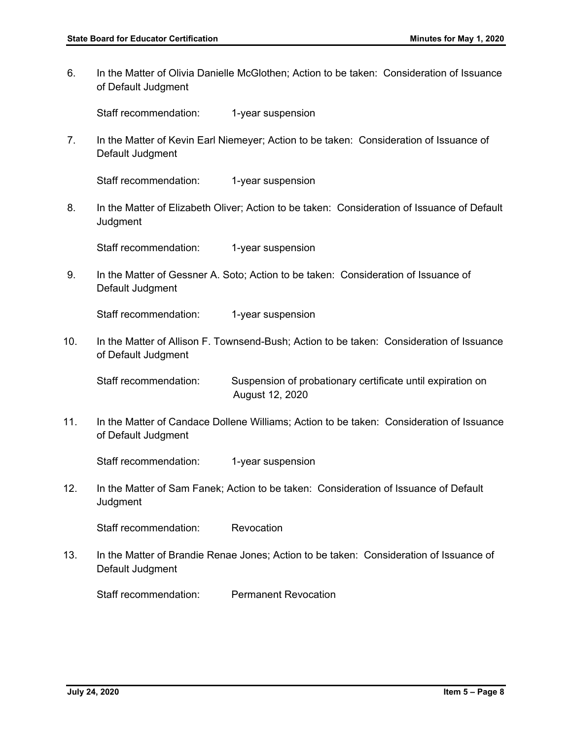6. In the Matter of Olivia Danielle McGlothen; Action to be taken: Consideration of Issuance of Default Judgment

Staff recommendation: 1-year suspension

7. In the Matter of Kevin Earl Niemeyer; Action to be taken: Consideration of Issuance of Default Judgment

Staff recommendation: 1-year suspension

8. In the Matter of Elizabeth Oliver; Action to be taken: Consideration of Issuance of Default **Judgment** 

Staff recommendation: 1-year suspension

9. In the Matter of Gessner A. Soto; Action to be taken: Consideration of Issuance of Default Judgment

Staff recommendation: 1-year suspension

10. In the Matter of Allison F. Townsend-Bush; Action to be taken: Consideration of Issuance of Default Judgment

Staff recommendation: Suspension of probationary certificate until expiration on August 12, 2020

11. In the Matter of Candace Dollene Williams; Action to be taken: Consideration of Issuance of Default Judgment

Staff recommendation: 1-year suspension

12. In the Matter of Sam Fanek; Action to be taken: Consideration of Issuance of Default Judgment

Staff recommendation: Revocation

13. In the Matter of Brandie Renae Jones; Action to be taken: Consideration of Issuance of Default Judgment

Staff recommendation: Permanent Revocation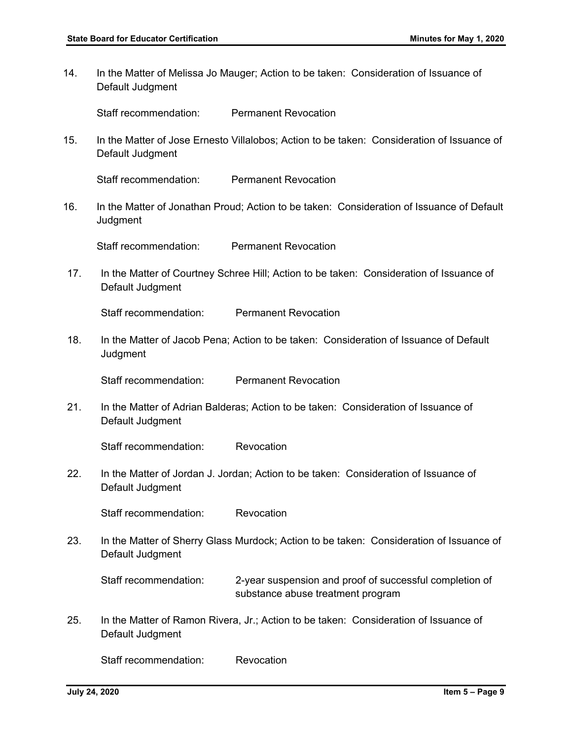14. In the Matter of Melissa Jo Mauger; Action to be taken: Consideration of Issuance of Default Judgment

Staff recommendation: Permanent Revocation

15. In the Matter of Jose Ernesto Villalobos; Action to be taken: Consideration of Issuance of Default Judgment

Staff recommendation: Permanent Revocation

16. In the Matter of Jonathan Proud; Action to be taken: Consideration of Issuance of Default **Judgment** 

Staff recommendation: Permanent Revocation

17. In the Matter of Courtney Schree Hill; Action to be taken: Consideration of Issuance of Default Judgment

Staff recommendation: Permanent Revocation

18. In the Matter of Jacob Pena; Action to be taken: Consideration of Issuance of Default **Judgment** 

Staff recommendation: Permanent Revocation

21. In the Matter of Adrian Balderas; Action to be taken: Consideration of Issuance of Default Judgment

Staff recommendation: Revocation

22. In the Matter of Jordan J. Jordan; Action to be taken: Consideration of Issuance of Default Judgment

Staff recommendation: Revocation

23. In the Matter of Sherry Glass Murdock; Action to be taken: Consideration of Issuance of Default Judgment

Staff recommendation: 2-year suspension and proof of successful completion of substance abuse treatment program

25. In the Matter of Ramon Rivera, Jr.; Action to be taken: Consideration of Issuance of Default Judgment

Staff recommendation: Revocation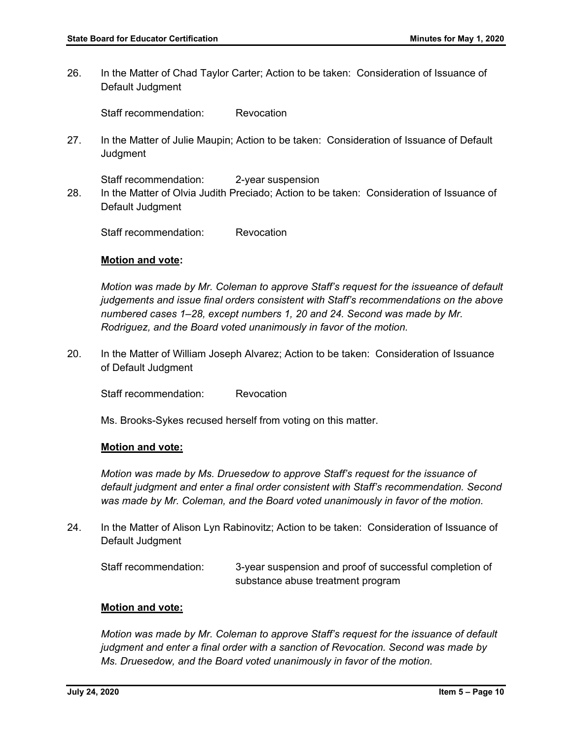26. In the Matter of Chad Taylor Carter; Action to be taken: Consideration of Issuance of Default Judgment

Staff recommendation: Revocation

27. In the Matter of Julie Maupin; Action to be taken: Consideration of Issuance of Default **Judgment** 

Staff recommendation: 2-year suspension 28. In the Matter of Olvia Judith Preciado; Action to be taken: Consideration of Issuance of Default Judgment

Staff recommendation: Revocation

#### **Motion and vote:**

*Motion was made by Mr. Coleman to approve Staff's request for the issueance of default judgements and issue final orders consistent with Staff's recommendations on the above numbered cases 1–28, except numbers 1, 20 and 24. Second was made by Mr. Rodriguez, and the Board voted unanimously in favor of the motion.*

20. In the Matter of William Joseph Alvarez; Action to be taken: Consideration of Issuance of Default Judgment

Staff recommendation: Revocation

Ms. Brooks-Sykes recused herself from voting on this matter.

#### **Motion and vote:**

*Motion was made by Ms. Druesedow to approve Staff's request for the issuance of default judgment and enter a final order consistent with Staff's recommendation. Second was made by Mr. Coleman, and the Board voted unanimously in favor of the motion.*

24. In the Matter of Alison Lyn Rabinovitz; Action to be taken: Consideration of Issuance of Default Judgment

Staff recommendation: 3-year suspension and proof of successful completion of substance abuse treatment program

#### **Motion and vote:**

*Motion was made by Mr. Coleman to approve Staff's request for the issuance of default judgment and enter a final order with a sanction of Revocation. Second was made by Ms. Druesedow, and the Board voted unanimously in favor of the motion.*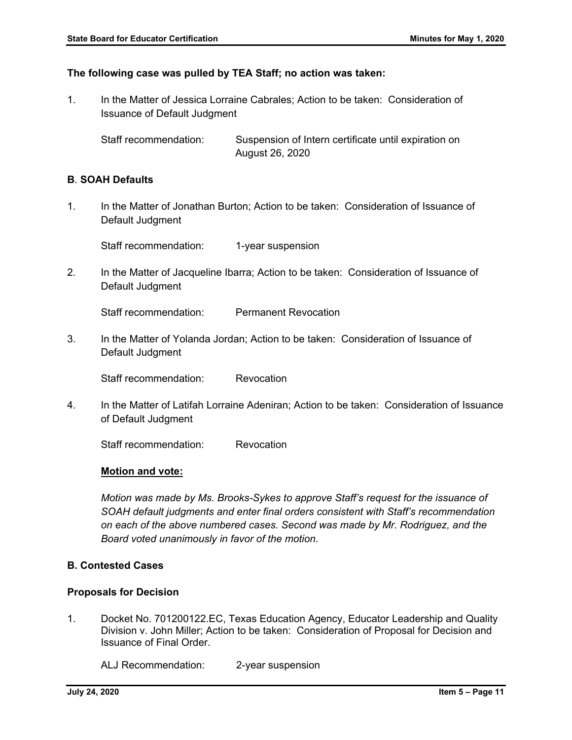#### **The following case was pulled by TEA Staff; no action was taken:**

1. In the Matter of Jessica Lorraine Cabrales; Action to be taken: Consideration of Issuance of Default Judgment

Staff recommendation: Suspension of Intern certificate until expiration on August 26, 2020

## **B**. **SOAH Defaults**

1. In the Matter of Jonathan Burton; Action to be taken: Consideration of Issuance of Default Judgment

Staff recommendation: 1-year suspension

2. In the Matter of Jacqueline Ibarra; Action to be taken: Consideration of Issuance of Default Judgment

Staff recommendation: Permanent Revocation

3. In the Matter of Yolanda Jordan; Action to be taken: Consideration of Issuance of Default Judgment

Staff recommendation: Revocation

4. In the Matter of Latifah Lorraine Adeniran; Action to be taken: Consideration of Issuance of Default Judgment

Staff recommendation: Revocation

#### **Motion and vote:**

*Motion was made by Ms. Brooks-Sykes to approve Staff's request for the issuance of SOAH default judgments and enter final orders consistent with Staff's recommendation on each of the above numbered cases. Second was made by Mr. Rodriguez, and the Board voted unanimously in favor of the motion.*

#### **B. Contested Cases**

#### **Proposals for Decision**

1. Docket No. 701200122.EC, Texas Education Agency, Educator Leadership and Quality Division v. John Miller; Action to be taken: Consideration of Proposal for Decision and Issuance of Final Order.

ALJ Recommendation: 2-year suspension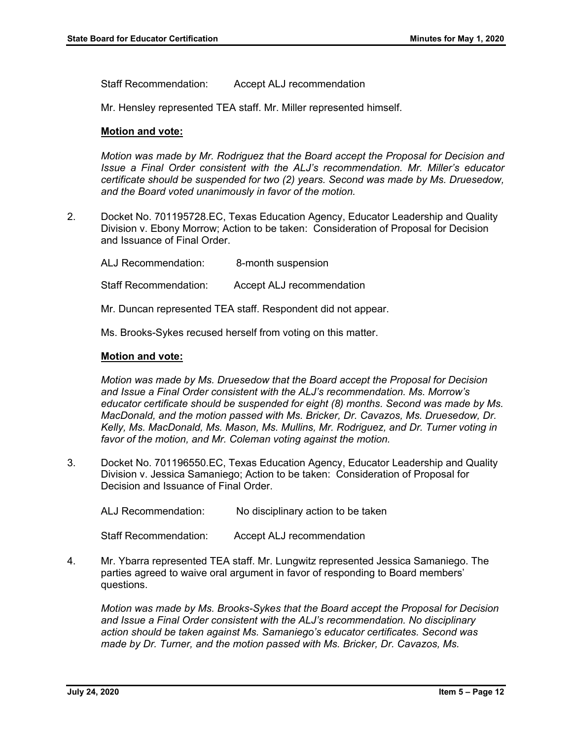Staff Recommendation: Accept ALJ recommendation

Mr. Hensley represented TEA staff. Mr. Miller represented himself.

#### **Motion and vote:**

*Motion was made by Mr. Rodriguez that the Board accept the Proposal for Decision and Issue a Final Order consistent with the ALJ's recommendation. Mr. Miller's educator certificate should be suspended for two (2) years. Second was made by Ms. Druesedow, and the Board voted unanimously in favor of the motion.* 

2. Docket No. 701195728.EC, Texas Education Agency, Educator Leadership and Quality Division v. Ebony Morrow; Action to be taken: Consideration of Proposal for Decision and Issuance of Final Order.

ALJ Recommendation: 8-month suspension Staff Recommendation: Accept ALJ recommendation Mr. Duncan represented TEA staff. Respondent did not appear.

Ms. Brooks-Sykes recused herself from voting on this matter.

#### **Motion and vote:**

*Motion was made by Ms. Druesedow that the Board accept the Proposal for Decision and Issue a Final Order consistent with the ALJ's recommendation. Ms. Morrow's educator certificate should be suspended for eight (8) months. Second was made by Ms. MacDonald, and the motion passed with Ms. Bricker, Dr. Cavazos, Ms. Druesedow, Dr. Kelly, Ms. MacDonald, Ms. Mason, Ms. Mullins, Mr. Rodriguez, and Dr. Turner voting in favor of the motion, and Mr. Coleman voting against the motion.*

3. Docket No. 701196550.EC, Texas Education Agency, Educator Leadership and Quality Division v. Jessica Samaniego; Action to be taken: Consideration of Proposal for Decision and Issuance of Final Order.

ALJ Recommendation: No disciplinary action to be taken

Staff Recommendation: Accept ALJ recommendation

4. Mr. Ybarra represented TEA staff. Mr. Lungwitz represented Jessica Samaniego. The parties agreed to waive oral argument in favor of responding to Board members' questions.

*Motion was made by Ms. Brooks-Sykes that the Board accept the Proposal for Decision and Issue a Final Order consistent with the ALJ's recommendation. No disciplinary action should be taken against Ms. Samaniego's educator certificates. Second was made by Dr. Turner, and the motion passed with Ms. Bricker, Dr. Cavazos, Ms.*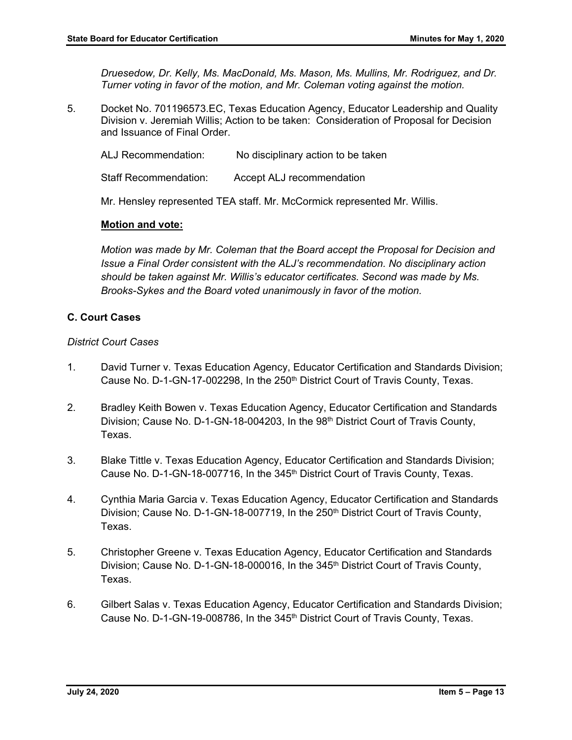*Druesedow, Dr. Kelly, Ms. MacDonald, Ms. Mason, Ms. Mullins, Mr. Rodriguez, and Dr. Turner voting in favor of the motion, and Mr. Coleman voting against the motion.*

5. Docket No. 701196573.EC, Texas Education Agency, Educator Leadership and Quality Division v. Jeremiah Willis; Action to be taken: Consideration of Proposal for Decision and Issuance of Final Order.

ALJ Recommendation: No disciplinary action to be taken Staff Recommendation: Accept ALJ recommendation

Mr. Hensley represented TEA staff. Mr. McCormick represented Mr. Willis.

#### **Motion and vote:**

*Motion was made by Mr. Coleman that the Board accept the Proposal for Decision and Issue a Final Order consistent with the ALJ's recommendation. No disciplinary action should be taken against Mr. Willis's educator certificates. Second was made by Ms. Brooks-Sykes and the Board voted unanimously in favor of the motion.*

#### **C. Court Cases**

#### *District Court Cases*

- 1. David Turner v. Texas Education Agency, Educator Certification and Standards Division; Cause No. D-1-GN-17-002298, In the 250<sup>th</sup> District Court of Travis County, Texas.
- 2. Bradley Keith Bowen v. Texas Education Agency, Educator Certification and Standards Division; Cause No. D-1-GN-18-004203, In the 98<sup>th</sup> District Court of Travis County, Texas.
- 3. Blake Tittle v. Texas Education Agency, Educator Certification and Standards Division; Cause No. D-1-GN-18-007716, In the 345<sup>th</sup> District Court of Travis County, Texas.
- 4. Cynthia Maria Garcia v. Texas Education Agency, Educator Certification and Standards Division; Cause No. D-1-GN-18-007719, In the 250<sup>th</sup> District Court of Travis County, Texas.
- 5. Christopher Greene v. Texas Education Agency, Educator Certification and Standards Division; Cause No. D-1-GN-18-000016, In the 345<sup>th</sup> District Court of Travis County, Texas.
- 6. Gilbert Salas v. Texas Education Agency, Educator Certification and Standards Division; Cause No. D-1-GN-19-008786, In the 345<sup>th</sup> District Court of Travis County, Texas.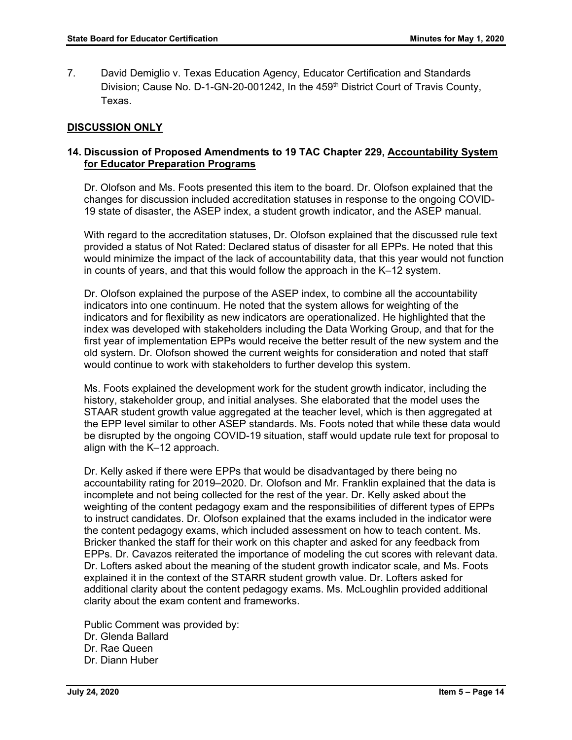7. David Demiglio v. Texas Education Agency, Educator Certification and Standards Division; Cause No. D-1-GN-20-001242, In the 459<sup>th</sup> District Court of Travis County, Texas.

# **DISCUSSION ONLY**

# **14. Discussion of Proposed Amendments to 19 TAC Chapter 229, Accountability System for Educator Preparation Programs**

Dr. Olofson and Ms. Foots presented this item to the board. Dr. Olofson explained that the changes for discussion included accreditation statuses in response to the ongoing COVID-19 state of disaster, the ASEP index, a student growth indicator, and the ASEP manual.

With regard to the accreditation statuses, Dr. Olofson explained that the discussed rule text provided a status of Not Rated: Declared status of disaster for all EPPs. He noted that this would minimize the impact of the lack of accountability data, that this year would not function in counts of years, and that this would follow the approach in the K–12 system.

Dr. Olofson explained the purpose of the ASEP index, to combine all the accountability indicators into one continuum. He noted that the system allows for weighting of the indicators and for flexibility as new indicators are operationalized. He highlighted that the index was developed with stakeholders including the Data Working Group, and that for the first year of implementation EPPs would receive the better result of the new system and the old system. Dr. Olofson showed the current weights for consideration and noted that staff would continue to work with stakeholders to further develop this system.

Ms. Foots explained the development work for the student growth indicator, including the history, stakeholder group, and initial analyses. She elaborated that the model uses the STAAR student growth value aggregated at the teacher level, which is then aggregated at the EPP level similar to other ASEP standards. Ms. Foots noted that while these data would be disrupted by the ongoing COVID-19 situation, staff would update rule text for proposal to align with the K–12 approach.

Dr. Kelly asked if there were EPPs that would be disadvantaged by there being no accountability rating for 2019–2020. Dr. Olofson and Mr. Franklin explained that the data is incomplete and not being collected for the rest of the year. Dr. Kelly asked about the weighting of the content pedagogy exam and the responsibilities of different types of EPPs to instruct candidates. Dr. Olofson explained that the exams included in the indicator were the content pedagogy exams, which included assessment on how to teach content. Ms. Bricker thanked the staff for their work on this chapter and asked for any feedback from EPPs. Dr. Cavazos reiterated the importance of modeling the cut scores with relevant data. Dr. Lofters asked about the meaning of the student growth indicator scale, and Ms. Foots explained it in the context of the STARR student growth value. Dr. Lofters asked for additional clarity about the content pedagogy exams. Ms. McLoughlin provided additional clarity about the exam content and frameworks.

Public Comment was provided by: Dr. Glenda Ballard Dr. Rae Queen Dr. Diann Huber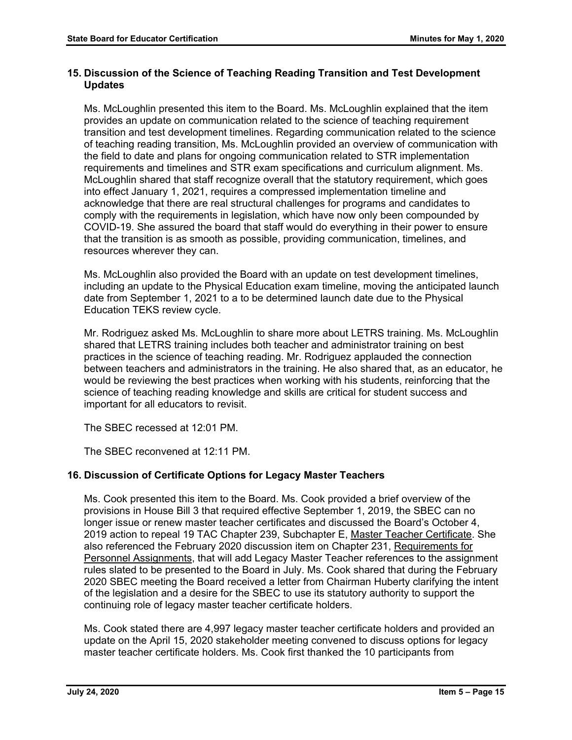# **15. Discussion of the Science of Teaching Reading Transition and Test Development Updates**

Ms. McLoughlin presented this item to the Board. Ms. McLoughlin explained that the item provides an update on communication related to the science of teaching requirement transition and test development timelines. Regarding communication related to the science of teaching reading transition, Ms. McLoughlin provided an overview of communication with the field to date and plans for ongoing communication related to STR implementation requirements and timelines and STR exam specifications and curriculum alignment. Ms. McLoughlin shared that staff recognize overall that the statutory requirement, which goes into effect January 1, 2021, requires a compressed implementation timeline and acknowledge that there are real structural challenges for programs and candidates to comply with the requirements in legislation, which have now only been compounded by COVID-19. She assured the board that staff would do everything in their power to ensure that the transition is as smooth as possible, providing communication, timelines, and resources wherever they can.

Ms. McLoughlin also provided the Board with an update on test development timelines, including an update to the Physical Education exam timeline, moving the anticipated launch date from September 1, 2021 to a to be determined launch date due to the Physical Education TEKS review cycle.

Mr. Rodriguez asked Ms. McLoughlin to share more about LETRS training. Ms. McLoughlin shared that LETRS training includes both teacher and administrator training on best practices in the science of teaching reading. Mr. Rodriguez applauded the connection between teachers and administrators in the training. He also shared that, as an educator, he would be reviewing the best practices when working with his students, reinforcing that the science of teaching reading knowledge and skills are critical for student success and important for all educators to revisit.

The SBEC recessed at 12:01 PM.

The SBEC reconvened at 12:11 PM.

# **16. Discussion of Certificate Options for Legacy Master Teachers**

Ms. Cook presented this item to the Board. Ms. Cook provided a brief overview of the provisions in House Bill 3 that required effective September 1, 2019, the SBEC can no longer issue or renew master teacher certificates and discussed the Board's October 4, 2019 action to repeal 19 TAC Chapter 239, Subchapter E, Master Teacher Certificate. She also referenced the February 2020 discussion item on Chapter 231, Requirements for Personnel Assignments, that will add Legacy Master Teacher references to the assignment rules slated to be presented to the Board in July. Ms. Cook shared that during the February 2020 SBEC meeting the Board received a letter from Chairman Huberty clarifying the intent of the legislation and a desire for the SBEC to use its statutory authority to support the continuing role of legacy master teacher certificate holders.

Ms. Cook stated there are 4,997 legacy master teacher certificate holders and provided an update on the April 15, 2020 stakeholder meeting convened to discuss options for legacy master teacher certificate holders. Ms. Cook first thanked the 10 participants from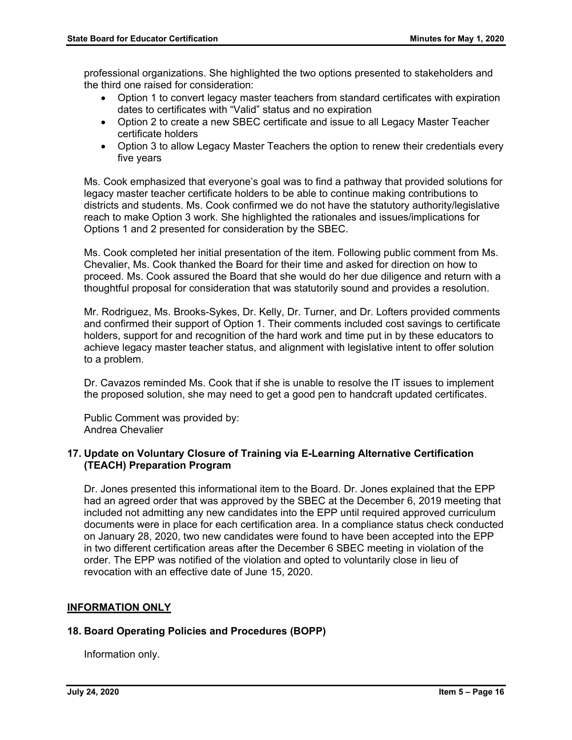professional organizations. She highlighted the two options presented to stakeholders and the third one raised for consideration:

- Option 1 to convert legacy master teachers from standard certificates with expiration dates to certificates with "Valid" status and no expiration
- Option 2 to create a new SBEC certificate and issue to all Legacy Master Teacher certificate holders
- Option 3 to allow Legacy Master Teachers the option to renew their credentials every five years

Ms. Cook emphasized that everyone's goal was to find a pathway that provided solutions for legacy master teacher certificate holders to be able to continue making contributions to districts and students. Ms. Cook confirmed we do not have the statutory authority/legislative reach to make Option 3 work. She highlighted the rationales and issues/implications for Options 1 and 2 presented for consideration by the SBEC.

Ms. Cook completed her initial presentation of the item. Following public comment from Ms. Chevalier, Ms. Cook thanked the Board for their time and asked for direction on how to proceed. Ms. Cook assured the Board that she would do her due diligence and return with a thoughtful proposal for consideration that was statutorily sound and provides a resolution.

Mr. Rodriguez, Ms. Brooks-Sykes, Dr. Kelly, Dr. Turner, and Dr. Lofters provided comments and confirmed their support of Option 1. Their comments included cost savings to certificate holders, support for and recognition of the hard work and time put in by these educators to achieve legacy master teacher status, and alignment with legislative intent to offer solution to a problem.

Dr. Cavazos reminded Ms. Cook that if she is unable to resolve the IT issues to implement the proposed solution, she may need to get a good pen to handcraft updated certificates.

Public Comment was provided by: Andrea Chevalier

#### **17. Update on Voluntary Closure of Training via E-Learning Alternative Certification (TEACH) Preparation Program**

Dr. Jones presented this informational item to the Board. Dr. Jones explained that the EPP had an agreed order that was approved by the SBEC at the December 6, 2019 meeting that included not admitting any new candidates into the EPP until required approved curriculum documents were in place for each certification area. In a compliance status check conducted on January 28, 2020, two new candidates were found to have been accepted into the EPP in two different certification areas after the December 6 SBEC meeting in violation of the order. The EPP was notified of the violation and opted to voluntarily close in lieu of revocation with an effective date of June 15, 2020.

# **INFORMATION ONLY**

#### **18. Board Operating Policies and Procedures (BOPP)**

Information only.